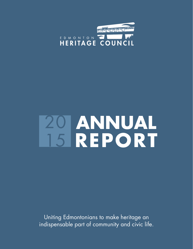

# **ANNUAL REPORT** 20 15

Uniting Edmontonians to make heritage an indispensable part of community and civic life.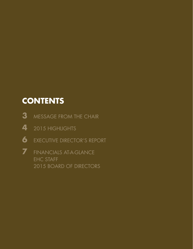# **CONTENTS**

- **3** MESSAGE FROM THE CHAIR
- **4** 2015 HIGHLIGHTS
- **6** EXECUTIVE DIRECTOR'S REPORT
- **7** FINANCIALS AT-A-GLANCE EHC STAFF 2015 BOARD OF DIRECTORS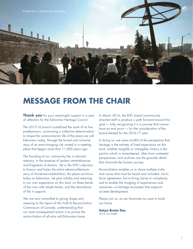

## **MESSAGE FROM THE CHAIR**

**Thank you** for your meaningful support in a year of reflection for the Edmonton Heritage Council.

The 2015-16 board crystallized the work of its five predecessors: summoning a collective determination to shape the communitarian life of the place we call Edmonton today, through the broad and inclusive story of an ever-changing city rooted in a meeting place that began more than 11,000 years ago.

The founding of our community lies in atavistic memory, in the tesserae of spoken remembrances and fragments of dreams. Yet in the EHC's decision to honour and foster the entire eleven-millennium story of Amiskwaciwâskahikan, the place we know today as Edmonton, we give validity and meaning to our own experience on this land: on these bends of the river with ample banks, and the abundance of life it supports.

We are now committed to giving shape and meaning to the report of the Truth & Reconciliation Commission of Canada, understanding that our most consequential action is to pursue the reconciliation of all who call Edmonton home.

In March 2016, the EHC board unanimously directed staff to produce a path forward toward this goal — fully recognizing it is a journey that cannot have an end point — for the consideration of the board elected for the 2016-17 year.

In doing so, we were mindful of the perspective that heritage is the entirety of lived experience on this land, whether tangible or intangible; history is the portion which is remembered, often from contested perspectives; and archives are the granular detail that chronicle the human journey.

Reconciliation enables us to share multiple truths and voices that must be heard and included: not to force agreement, but to bring clarity to complexity, and to enable the mingling of experiences and memories—a heritage ecosystem that supports societal development.

Please join us, as we illuminate our past to build our future.

**Satya Brata Das** 2015-16 CHAIR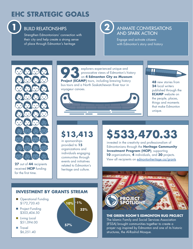# **EHC STRATEGIC GOALS**



## BUILD RELATIONSHIPS

Strengthen Edmontonians' connection with their city and help create a strong sense of place through Edmonton's heritage



## ANIMATE CONVERSATIONS AND SPARK ACTION

Engage and activate citizens with Edmonton's story and history



**27** out of **44** recipients received **HCIP** funding for the first time.





**48** new stories from **24** local writers published through the **ECAMP** website on the people, places, things and moments that make Edmonton

unique.

# **\$13,413**

in sponsorships provided to **15** organizations and individuals engaging communities through events and initiatives related to Edmonton's heritage and culture.

# **\$533,470.33**

invested in the creativity and professionalism of Edmontonians through the **Heritage Community Investment Program (HCIP)**, supporting **10** organizations, **4** individuals, and **30** projects. View all recipients on [edmontonheritage.ca/grants](http://edmontonheritage.ca/grants/)



**THE GREEN ROOM'S EDMONTON RUG PROJECT** The Islamic Family and Social Services Association (IFSSA) brought communities together to create a prayer rug inspired by Edmonton and one of its historic structures, the Al-Rashid Mosque.

#### **INVESTMENT BY GRANTS STREAM**

- **Derational Funding** \$172,720.43
- **Project Funding** \$303,404.50
- **Living Local** \$51,094.00
- **Travel** \$6,251.40

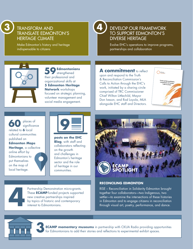## TRANSFORM AND TRANSLATE EDMONTON'S HERITAGE CLIMATE

Make Edmonton's history and heritage indispensable to citizens

## DEVELOP OUR FRAMEWORK TO SUPPORT EDMONTON'S DIVERSE HERITAGE

Evolve EHC's operations to improve programs, partnerships and collaboration



**59 Edmontonians** strengthened their professional and organizational skills at **5 Edmonton Heritage Network** workshops focused on strategic planning, volunteer management and social media engagement.

### **A commitment** to reflect

upon and respond to the Truth & Reconciliation Commission's Calls to Action through the EHC's work, initiated by a sharing circle comprised of TRC Commissioner Chief Wilton Littlechild, Mayor Don Iveson, and Rod Loyola, MLA alongside EHC staff and Directors.



**60** places of significance related to **6** local cultural communities published on **Edmonton Maps Heritage**, a collective online effort by Edmontonians to put themselves on the map of local heritage.



**posts on the EHC Blog**, with staff and collaborators reflecting on the growth and challenges in Edmonton's heritage sector and the role of heritage in our communities.



#### **RECONCILING EDMONTON**

RISE – Reconciliation in Solidarity Edmonton brought together four collaborators—two Indigenous, two settler—to examine the intersections of these histories Partnership Demonstration micro-grants.<br>
These **ECAMP**-funded projects supported<br>
new creative partnerships inspired<br>
by topics of historic and contemporary<br>
interest to Edmontonians.<br>
Letter—to examine the intersections o

Partnership Demonstration micro-grants. These **ECAMP**-funded projects supported new creative partnerships inspired by topics of historic and contemporary interest to Edmontonians.



**ECAMP momentary museums** in partnership with CKUA Radio providing opportunities for Edmontonians to add their stories and reflections to experimental exhibit spaces.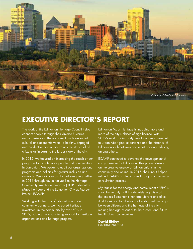

## **EXECUTIVE DIRECTOR'S REPORT**

The work of the Edmonton Heritage Council helps connect people through their diverse histories and experiences. These connections have social, cultural and economic value: a healthy, engaged and productive community values the stories of all citizens as integral to the larger story of the city.

In 2015, we focused on increasing the reach of our programs to include more people and communities in Edmonton. We began to audit our organizational programs and policies for greater inclusion and outreach. We look forward to that emerging further in 2016 through key initiatives like the Heritage Community Investment Program (HCIP), Edmonton Maps Heritage and the Edmonton City as Museum Project (ECAMP).

Working with the City of Edmonton and our community partners, we increased heritage investment in the community by over 60% in 2015, adding more sustaining support for heritage organizations and heritage projects.

Edmonton Maps Heritage is mapping more and more of the city's places of significance, with 2015's work adding sixty new locations connected to urban Aboriginal experience and the histories of Edmonton's Chinatowns and meat packing industry, among others.

ECAMP continued to advance the development of a city museum for Edmonton. This project draws on the creative energy of Edmontonians in the community and online. In 2015, their input helped refine ECAMP's strategic aims through a community consultation process.

My thanks for the energy and commitment of EHC's small but mighty staff in administering this work that makes Edmonton's heritage vibrant and alive. And thank you to all who are building relationships between citizens and the heritage of the city, making heritage essential to the present and future health of our communities.

**David Ridley** EXECUTIVE DIRECTOR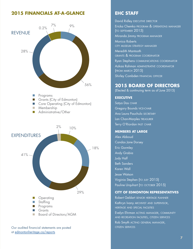### **2015 FINANCIALS AT-A-GLANCE**



Our audited financial statements are posted at [edmontonheritage.ca/reports](http://edmontonheritage.ca/reports/)

#### **EHC STAFF**

David Ridley EXECUTIVE DIRECTOR Ericka Chemko program & operations manager (to september 2015) Miranda Jimmy program manager Monica Roberts city museum strategy manager Meredith Mantooth grants & program coordinator Ryan Stephens communications coordinator Azkaa Rahman administrative coordinator (from march 2015)

Shirley Combden FINANCIAL OFFICER

### **2015 BOARD OF DIRECTORS**

(Elected & continuing term as of June 2015)

#### **EXECUTIVE**

Satya Das CHAIR Gregory Bounds vice-chair Ana Laura Pauchulo SECRETARY Lan Chan-Marples treasurer Terry O'Riordan PAST CHAIR

#### **MEMBERS AT LARGE**

Alex Abboud Candas Jane Dorsey Eric Gormley Andy Grabia Judy Half Beth Sanders Karen Wall Jesse Watson Virginia Stephen (TO JULY 2015) Pauline Urquhart (TO OCTOBER 2015)

#### **CITY OF EDMONTON REPRESENTATIVES**

Robert Geldart senior heritage planner Kathryn Ivany archivist and supervisor, heritage and special facilities

Evelyn Ehrman acting manager, community and recreation facilities, citizen services Rob Smyth acting general manager, citizen services